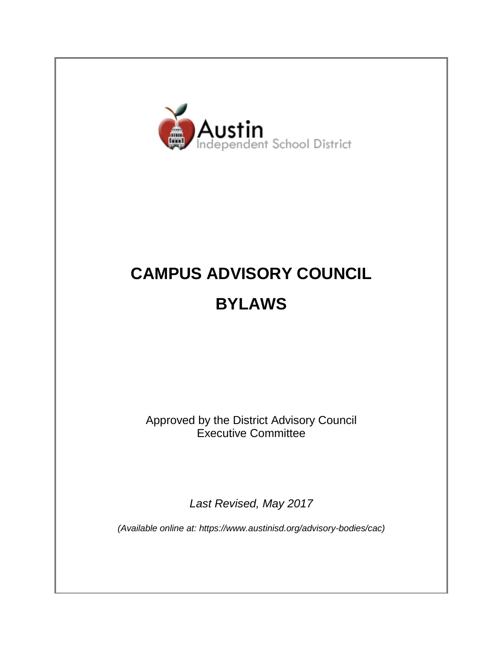

# **CAMPUS ADVISORY COUNCIL BYLAWS**

Approved by the District Advisory Council Executive Committee

*Last Revised, May 2017*

*(Available online at: https://www.austinisd.org/advisory-bodies/cac)*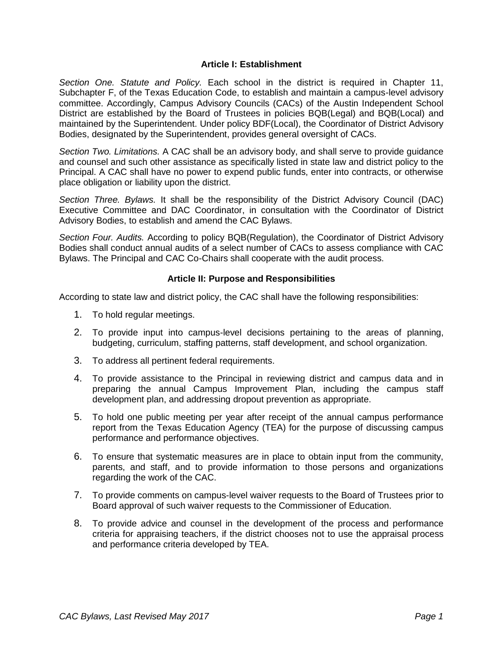### **Article I: Establishment**

*Section One. Statute and Policy.* Each school in the district is required in Chapter 11, Subchapter F, of the Texas Education Code, to establish and maintain a campus-level advisory committee. Accordingly, Campus Advisory Councils (CACs) of the Austin Independent School District are established by the Board of Trustees in policies BQB(Legal) and BQB(Local) and maintained by the Superintendent. Under policy BDF(Local), the Coordinator of District Advisory Bodies, designated by the Superintendent, provides general oversight of CACs.

*Section Two. Limitations.* A CAC shall be an advisory body, and shall serve to provide guidance and counsel and such other assistance as specifically listed in state law and district policy to the Principal. A CAC shall have no power to expend public funds, enter into contracts, or otherwise place obligation or liability upon the district.

*Section Three. Bylaws.* It shall be the responsibility of the District Advisory Council (DAC) Executive Committee and DAC Coordinator, in consultation with the Coordinator of District Advisory Bodies, to establish and amend the CAC Bylaws.

*Section Four. Audits.* According to policy BQB(Regulation), the Coordinator of District Advisory Bodies shall conduct annual audits of a select number of CACs to assess compliance with CAC Bylaws. The Principal and CAC Co-Chairs shall cooperate with the audit process.

## **Article II: Purpose and Responsibilities**

According to state law and district policy, the CAC shall have the following responsibilities:

- 1. To hold regular meetings.
- 2. To provide input into campus-level decisions pertaining to the areas of planning, budgeting, curriculum, staffing patterns, staff development, and school organization.
- 3. To address all pertinent federal requirements.
- 4. To provide assistance to the Principal in reviewing district and campus data and in preparing the annual Campus Improvement Plan, including the campus staff development plan, and addressing dropout prevention as appropriate.
- 5. To hold one public meeting per year after receipt of the annual campus performance report from the Texas Education Agency (TEA) for the purpose of discussing campus performance and performance objectives.
- 6. To ensure that systematic measures are in place to obtain input from the community, parents, and staff, and to provide information to those persons and organizations regarding the work of the CAC.
- 7. To provide comments on campus-level waiver requests to the Board of Trustees prior to Board approval of such waiver requests to the Commissioner of Education.
- 8. To provide advice and counsel in the development of the process and performance criteria for appraising teachers, if the district chooses not to use the appraisal process and performance criteria developed by TEA.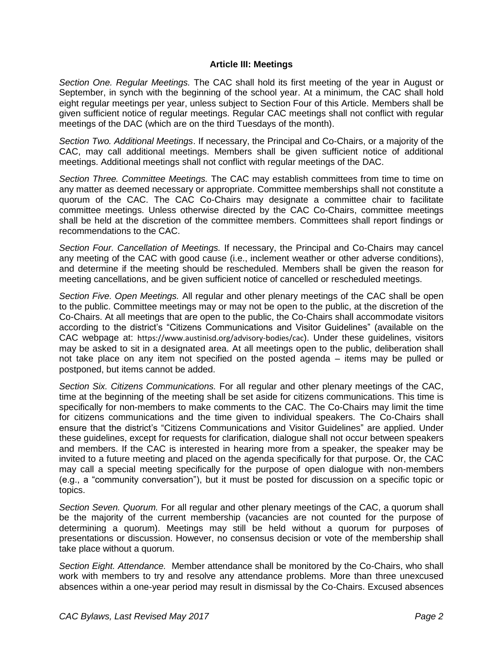### **Article III: Meetings**

*Section One. Regular Meetings.* The CAC shall hold its first meeting of the year in August or September, in synch with the beginning of the school year. At a minimum, the CAC shall hold eight regular meetings per year, unless subject to Section Four of this Article. Members shall be given sufficient notice of regular meetings. Regular CAC meetings shall not conflict with regular meetings of the DAC (which are on the third Tuesdays of the month).

*Section Two. Additional Meetings*. If necessary, the Principal and Co-Chairs, or a majority of the CAC, may call additional meetings. Members shall be given sufficient notice of additional meetings. Additional meetings shall not conflict with regular meetings of the DAC.

*Section Three. Committee Meetings.* The CAC may establish committees from time to time on any matter as deemed necessary or appropriate. Committee memberships shall not constitute a quorum of the CAC. The CAC Co-Chairs may designate a committee chair to facilitate committee meetings. Unless otherwise directed by the CAC Co-Chairs, committee meetings shall be held at the discretion of the committee members. Committees shall report findings or recommendations to the CAC.

*Section Four. Cancellation of Meetings.* If necessary, the Principal and Co-Chairs may cancel any meeting of the CAC with good cause (i.e., inclement weather or other adverse conditions), and determine if the meeting should be rescheduled. Members shall be given the reason for meeting cancellations, and be given sufficient notice of cancelled or rescheduled meetings.

*Section Five. Open Meetings.* All regular and other plenary meetings of the CAC shall be open to the public. Committee meetings may or may not be open to the public, at the discretion of the Co-Chairs. At all meetings that are open to the public, the Co-Chairs shall accommodate visitors according to the district's "Citizens Communications and Visitor Guidelines" (available on the CAC webpage at: https://www.austinisd.org/advisory-bodies/cac). Under these guidelines, visitors may be asked to sit in a designated area. At all meetings open to the public, deliberation shall not take place on any item not specified on the posted agenda – items may be pulled or postponed, but items cannot be added.

*Section Six. Citizens Communications.* For all regular and other plenary meetings of the CAC, time at the beginning of the meeting shall be set aside for citizens communications. This time is specifically for non-members to make comments to the CAC. The Co-Chairs may limit the time for citizens communications and the time given to individual speakers. The Co-Chairs shall ensure that the district's "Citizens Communications and Visitor Guidelines" are applied. Under these guidelines, except for requests for clarification, dialogue shall not occur between speakers and members. If the CAC is interested in hearing more from a speaker, the speaker may be invited to a future meeting and placed on the agenda specifically for that purpose. Or, the CAC may call a special meeting specifically for the purpose of open dialogue with non-members (e.g., a "community conversation"), but it must be posted for discussion on a specific topic or topics.

*Section Seven. Quorum.* For all regular and other plenary meetings of the CAC, a quorum shall be the majority of the current membership (vacancies are not counted for the purpose of determining a quorum). Meetings may still be held without a quorum for purposes of presentations or discussion. However, no consensus decision or vote of the membership shall take place without a quorum.

*Section Eight. Attendance.* Member attendance shall be monitored by the Co-Chairs, who shall work with members to try and resolve any attendance problems. More than three unexcused absences within a one-year period may result in dismissal by the Co-Chairs. Excused absences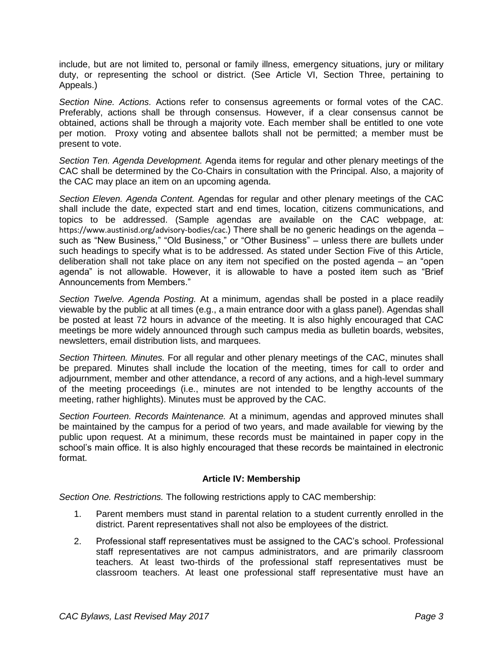include, but are not limited to, personal or family illness, emergency situations, jury or military duty, or representing the school or district. (See Article VI, Section Three, pertaining to Appeals.)

*Section Nine. Actions.* Actions refer to consensus agreements or formal votes of the CAC. Preferably, actions shall be through consensus. However, if a clear consensus cannot be obtained, actions shall be through a majority vote. Each member shall be entitled to one vote per motion. Proxy voting and absentee ballots shall not be permitted; a member must be present to vote.

*Section Ten. Agenda Development.* Agenda items for regular and other plenary meetings of the CAC shall be determined by the Co-Chairs in consultation with the Principal. Also, a majority of the CAC may place an item on an upcoming agenda.

*Section Eleven. Agenda Content.* Agendas for regular and other plenary meetings of the CAC shall include the date, expected start and end times, location, citizens communications, and topics to be addressed. (Sample agendas are available on the CAC webpage, at: https://www.austinisd.org/advisory-bodies/cac.) There shall be no generic headings on the agenda such as "New Business," "Old Business," or "Other Business" – unless there are bullets under such headings to specify what is to be addressed. As stated under Section Five of this Article, deliberation shall not take place on any item not specified on the posted agenda – an "open agenda" is not allowable. However, it is allowable to have a posted item such as "Brief Announcements from Members."

*Section Twelve. Agenda Posting.* At a minimum, agendas shall be posted in a place readily viewable by the public at all times (e.g., a main entrance door with a glass panel). Agendas shall be posted at least 72 hours in advance of the meeting. It is also highly encouraged that CAC meetings be more widely announced through such campus media as bulletin boards, websites, newsletters, email distribution lists, and marquees.

*Section Thirteen. Minutes.* For all regular and other plenary meetings of the CAC, minutes shall be prepared. Minutes shall include the location of the meeting, times for call to order and adjournment, member and other attendance, a record of any actions, and a high-level summary of the meeting proceedings (i.e., minutes are not intended to be lengthy accounts of the meeting, rather highlights). Minutes must be approved by the CAC.

*Section Fourteen. Records Maintenance.* At a minimum, agendas and approved minutes shall be maintained by the campus for a period of two years, and made available for viewing by the public upon request. At a minimum, these records must be maintained in paper copy in the school's main office. It is also highly encouraged that these records be maintained in electronic format.

## **Article IV: Membership**

*Section One. Restrictions.* The following restrictions apply to CAC membership:

- 1. Parent members must stand in parental relation to a student currently enrolled in the district. Parent representatives shall not also be employees of the district.
- 2. Professional staff representatives must be assigned to the CAC's school. Professional staff representatives are not campus administrators, and are primarily classroom teachers. At least two-thirds of the professional staff representatives must be classroom teachers. At least one professional staff representative must have an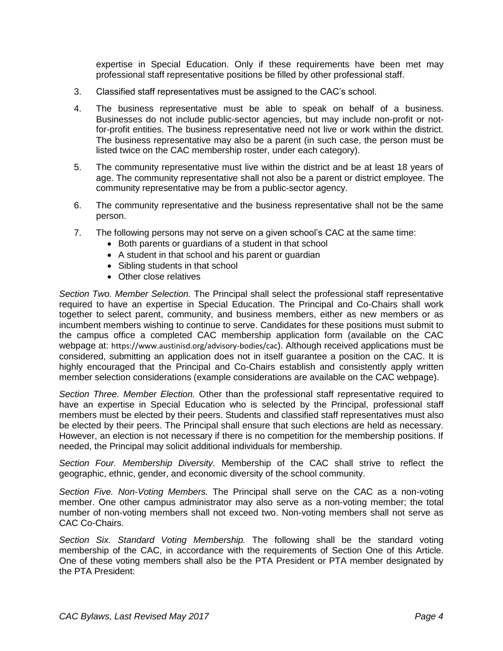expertise in Special Education. Only if these requirements have been met may professional staff representative positions be filled by other professional staff.

- 3. Classified staff representatives must be assigned to the CAC's school.
- 4. The business representative must be able to speak on behalf of a business. Businesses do not include public-sector agencies, but may include non-profit or notfor-profit entities. The business representative need not live or work within the district. The business representative may also be a parent (in such case, the person must be listed twice on the CAC membership roster, under each category).
- 5. The community representative must live within the district and be at least 18 years of age. The community representative shall not also be a parent or district employee. The community representative may be from a public-sector agency.
- 6. The community representative and the business representative shall not be the same person.
- 7. The following persons may not serve on a given school's CAC at the same time:
	- Both parents or guardians of a student in that school
	- A student in that school and his parent or guardian
	- Sibling students in that school
	- Other close relatives

*Section Two. Member Selection.* The Principal shall select the professional staff representative required to have an expertise in Special Education. The Principal and Co-Chairs shall work together to select parent, community, and business members, either as new members or as incumbent members wishing to continue to serve. Candidates for these positions must submit to the campus office a completed CAC membership application form (available on the CAC webpage at: https://www.austinisd.org/advisory-bodies/cac). Although received applications must be considered, submitting an application does not in itself guarantee a position on the CAC. It is highly encouraged that the Principal and Co-Chairs establish and consistently apply written member selection considerations (example considerations are available on the CAC webpage).

*Section Three. Member Election.* Other than the professional staff representative required to have an expertise in Special Education who is selected by the Principal, professional staff members must be elected by their peers. Students and classified staff representatives must also be elected by their peers. The Principal shall ensure that such elections are held as necessary. However, an election is not necessary if there is no competition for the membership positions. If needed, the Principal may solicit additional individuals for membership.

*Section Four. Membership Diversity.* Membership of the CAC shall strive to reflect the geographic, ethnic, gender, and economic diversity of the school community.

*Section Five. Non-Voting Members.* The Principal shall serve on the CAC as a non-voting member. One other campus administrator may also serve as a non-voting member; the total number of non-voting members shall not exceed two. Non-voting members shall not serve as CAC Co-Chairs.

*Section Six. Standard Voting Membership.* The following shall be the standard voting membership of the CAC, in accordance with the requirements of Section One of this Article. One of these voting members shall also be the PTA President or PTA member designated by the PTA President: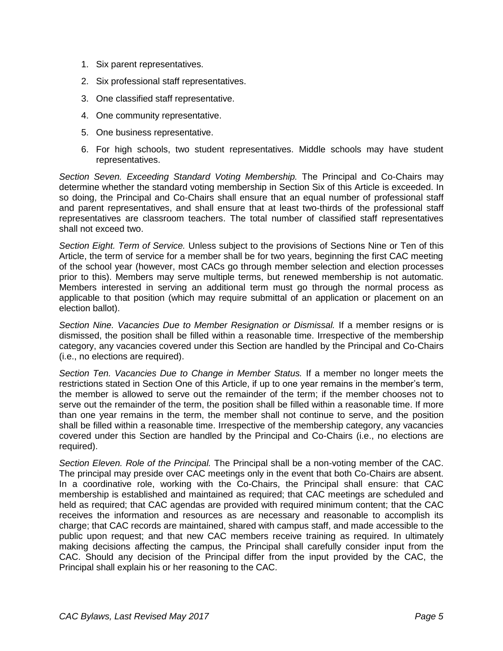- 1. Six parent representatives.
- 2. Six professional staff representatives.
- 3. One classified staff representative.
- 4. One community representative.
- 5. One business representative.
- 6. For high schools, two student representatives. Middle schools may have student representatives.

*Section Seven. Exceeding Standard Voting Membership.* The Principal and Co-Chairs may determine whether the standard voting membership in Section Six of this Article is exceeded. In so doing, the Principal and Co-Chairs shall ensure that an equal number of professional staff and parent representatives, and shall ensure that at least two-thirds of the professional staff representatives are classroom teachers. The total number of classified staff representatives shall not exceed two.

*Section Eight. Term of Service.* Unless subject to the provisions of Sections Nine or Ten of this Article, the term of service for a member shall be for two years, beginning the first CAC meeting of the school year (however, most CACs go through member selection and election processes prior to this). Members may serve multiple terms, but renewed membership is not automatic. Members interested in serving an additional term must go through the normal process as applicable to that position (which may require submittal of an application or placement on an election ballot).

*Section Nine. Vacancies Due to Member Resignation or Dismissal.* If a member resigns or is dismissed, the position shall be filled within a reasonable time. Irrespective of the membership category, any vacancies covered under this Section are handled by the Principal and Co-Chairs (i.e., no elections are required).

*Section Ten. Vacancies Due to Change in Member Status.* If a member no longer meets the restrictions stated in Section One of this Article, if up to one year remains in the member's term, the member is allowed to serve out the remainder of the term; if the member chooses not to serve out the remainder of the term, the position shall be filled within a reasonable time. If more than one year remains in the term, the member shall not continue to serve, and the position shall be filled within a reasonable time. Irrespective of the membership category, any vacancies covered under this Section are handled by the Principal and Co-Chairs (i.e., no elections are required).

*Section Eleven. Role of the Principal.* The Principal shall be a non-voting member of the CAC. The principal may preside over CAC meetings only in the event that both Co-Chairs are absent. In a coordinative role, working with the Co-Chairs, the Principal shall ensure: that CAC membership is established and maintained as required; that CAC meetings are scheduled and held as required; that CAC agendas are provided with required minimum content; that the CAC receives the information and resources as are necessary and reasonable to accomplish its charge; that CAC records are maintained, shared with campus staff, and made accessible to the public upon request; and that new CAC members receive training as required. In ultimately making decisions affecting the campus, the Principal shall carefully consider input from the CAC. Should any decision of the Principal differ from the input provided by the CAC, the Principal shall explain his or her reasoning to the CAC.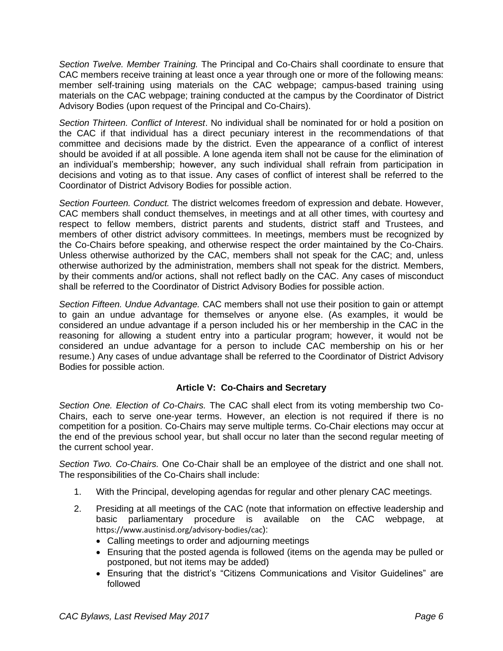*Section Twelve. Member Training.* The Principal and Co-Chairs shall coordinate to ensure that CAC members receive training at least once a year through one or more of the following means: member self-training using materials on the CAC webpage; campus-based training using materials on the CAC webpage; training conducted at the campus by the Coordinator of District Advisory Bodies (upon request of the Principal and Co-Chairs).

*Section Thirteen. Conflict of Interest*. No individual shall be nominated for or hold a position on the CAC if that individual has a direct pecuniary interest in the recommendations of that committee and decisions made by the district. Even the appearance of a conflict of interest should be avoided if at all possible. A lone agenda item shall not be cause for the elimination of an individual's membership; however, any such individual shall refrain from participation in decisions and voting as to that issue. Any cases of conflict of interest shall be referred to the Coordinator of District Advisory Bodies for possible action.

*Section Fourteen. Conduct.* The district welcomes freedom of expression and debate. However, CAC members shall conduct themselves, in meetings and at all other times, with courtesy and respect to fellow members, district parents and students, district staff and Trustees, and members of other district advisory committees. In meetings, members must be recognized by the Co-Chairs before speaking, and otherwise respect the order maintained by the Co-Chairs. Unless otherwise authorized by the CAC, members shall not speak for the CAC; and, unless otherwise authorized by the administration, members shall not speak for the district. Members, by their comments and/or actions, shall not reflect badly on the CAC. Any cases of misconduct shall be referred to the Coordinator of District Advisory Bodies for possible action.

*Section Fifteen. Undue Advantage.* CAC members shall not use their position to gain or attempt to gain an undue advantage for themselves or anyone else. (As examples, it would be considered an undue advantage if a person included his or her membership in the CAC in the reasoning for allowing a student entry into a particular program; however, it would not be considered an undue advantage for a person to include CAC membership on his or her resume.) Any cases of undue advantage shall be referred to the Coordinator of District Advisory Bodies for possible action.

## **Article V: Co-Chairs and Secretary**

*Section One. Election of Co-Chairs.* The CAC shall elect from its voting membership two Co-Chairs, each to serve one-year terms. However, an election is not required if there is no competition for a position. Co-Chairs may serve multiple terms. Co-Chair elections may occur at the end of the previous school year, but shall occur no later than the second regular meeting of the current school year.

*Section Two. Co-Chairs.* One Co-Chair shall be an employee of the district and one shall not. The responsibilities of the Co-Chairs shall include:

- 1. With the Principal, developing agendas for regular and other plenary CAC meetings.
- 2. Presiding at all meetings of the CAC (note that information on effective leadership and basic parliamentary procedure is available on the CAC webpage, at https://www.austinisd.org/advisory-bodies/cac):
	- Calling meetings to order and adjourning meetings
	- Ensuring that the posted agenda is followed (items on the agenda may be pulled or postponed, but not items may be added)
	- Ensuring that the district's "Citizens Communications and Visitor Guidelines" are followed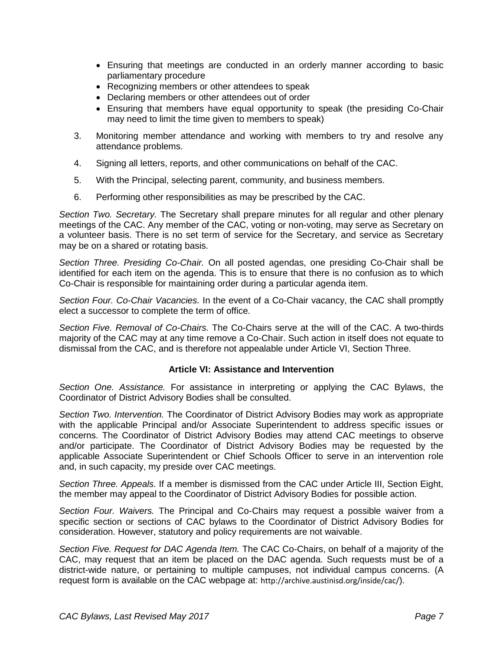- Ensuring that meetings are conducted in an orderly manner according to basic parliamentary procedure
- Recognizing members or other attendees to speak
- Declaring members or other attendees out of order
- Ensuring that members have equal opportunity to speak (the presiding Co-Chair may need to limit the time given to members to speak)
- 3. Monitoring member attendance and working with members to try and resolve any attendance problems.
- 4. Signing all letters, reports, and other communications on behalf of the CAC.
- 5. With the Principal, selecting parent, community, and business members.
- 6. Performing other responsibilities as may be prescribed by the CAC.

*Section Two. Secretary.* The Secretary shall prepare minutes for all regular and other plenary meetings of the CAC. Any member of the CAC, voting or non-voting, may serve as Secretary on a volunteer basis. There is no set term of service for the Secretary, and service as Secretary may be on a shared or rotating basis.

*Section Three. Presiding Co-Chair.* On all posted agendas, one presiding Co-Chair shall be identified for each item on the agenda. This is to ensure that there is no confusion as to which Co-Chair is responsible for maintaining order during a particular agenda item.

*Section Four. Co-Chair Vacancies.* In the event of a Co-Chair vacancy, the CAC shall promptly elect a successor to complete the term of office.

*Section Five. Removal of Co-Chairs.* The Co-Chairs serve at the will of the CAC. A two-thirds majority of the CAC may at any time remove a Co-Chair. Such action in itself does not equate to dismissal from the CAC, and is therefore not appealable under Article VI, Section Three.

### **Article VI: Assistance and Intervention**

*Section One. Assistance.* For assistance in interpreting or applying the CAC Bylaws, the Coordinator of District Advisory Bodies shall be consulted.

*Section Two. Intervention.* The Coordinator of District Advisory Bodies may work as appropriate with the applicable Principal and/or Associate Superintendent to address specific issues or concerns. The Coordinator of District Advisory Bodies may attend CAC meetings to observe and/or participate. The Coordinator of District Advisory Bodies may be requested by the applicable Associate Superintendent or Chief Schools Officer to serve in an intervention role and, in such capacity, my preside over CAC meetings.

*Section Three. Appeals.* If a member is dismissed from the CAC under Article III, Section Eight, the member may appeal to the Coordinator of District Advisory Bodies for possible action.

*Section Four. Waivers.* The Principal and Co-Chairs may request a possible waiver from a specific section or sections of CAC bylaws to the Coordinator of District Advisory Bodies for consideration. However, statutory and policy requirements are not waivable.

*Section Five. Request for DAC Agenda Item.* The CAC Co-Chairs, on behalf of a majority of the CAC, may request that an item be placed on the DAC agenda. Such requests must be of a district-wide nature, or pertaining to multiple campuses, not individual campus concerns. (A request form is available on the CAC webpage at: <http://archive.austinisd.org/inside/cac/>).